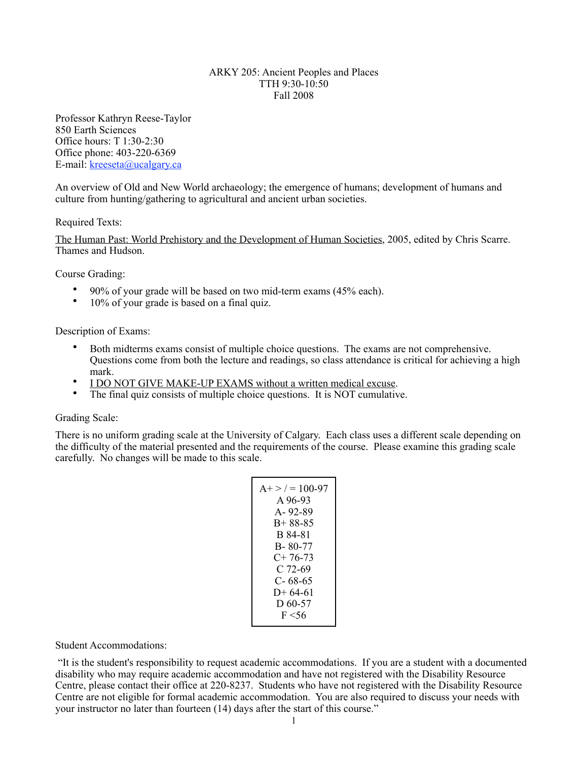### ARKY 205: Ancient Peoples and Places TTH 9:30-10:50 Fall 2008

Professor Kathryn Reese-Taylor 850 Earth Sciences Office hours: T 1:30-2:30 Office phone: 403-220-6369 E-mail: [kreeseta@ucalgary.ca](mailto:k_reesetaylor@yahoo.com)

An overview of Old and New World archaeology; the emergence of humans; development of humans and culture from hunting/gathering to agricultural and ancient urban societies.

## Required Texts:

The Human Past: World Prehistory and the Development of Human Societies, 2005, edited by Chris Scarre. Thames and Hudson.

Course Grading:

- 90% of your grade will be based on two mid-term exams (45% each).
- 10% of your grade is based on a final quiz.

Description of Exams:

- Both midterms exams consist of multiple choice questions. The exams are not comprehensive. Questions come from both the lecture and readings, so class attendance is critical for achieving a high mark.
- I DO NOT GIVE MAKE-UP EXAMS without a written medical excuse.
- The final quiz consists of multiple choice questions. It is NOT cumulative.

### Grading Scale:

There is no uniform grading scale at the University of Calgary. Each class uses a different scale depending on the difficulty of the material presented and the requirements of the course. Please examine this grading scale carefully. No changes will be made to this scale.

$$
A+>/7 = 100-97\nA 96-93\nA-92-89\nB+88-85\nB 84-81\nB-80-77\nC+76-73\nC 72-69\nC-68-65\nD+64-61\nD 60-57\nF<56
$$

### Student Accommodations:

 "It is the student's responsibility to request academic accommodations. If you are a student with a documented disability who may require academic accommodation and have not registered with the Disability Resource Centre, please contact their office at 220-8237. Students who have not registered with the Disability Resource Centre are not eligible for formal academic accommodation. You are also required to discuss your needs with your instructor no later than fourteen (14) days after the start of this course."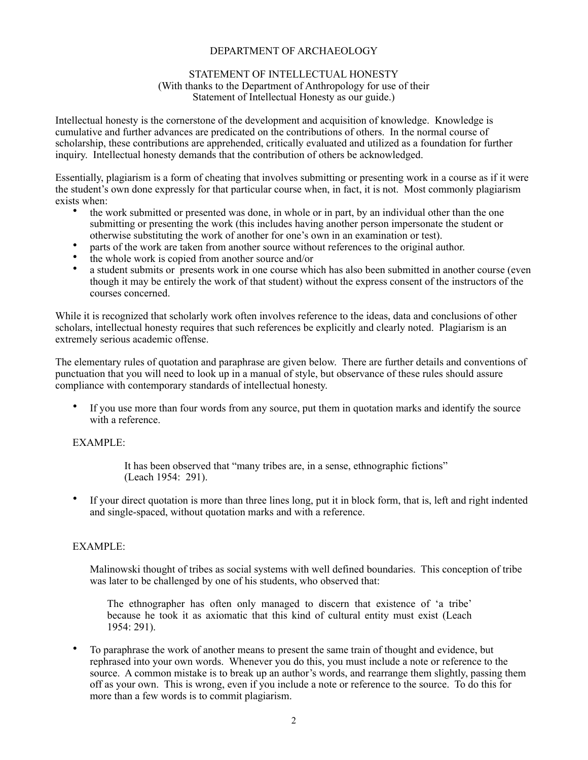## DEPARTMENT OF ARCHAEOLOGY

### STATEMENT OF INTELLECTUAL HONESTY (With thanks to the Department of Anthropology for use of their Statement of Intellectual Honesty as our guide.)

Intellectual honesty is the cornerstone of the development and acquisition of knowledge. Knowledge is cumulative and further advances are predicated on the contributions of others. In the normal course of scholarship, these contributions are apprehended, critically evaluated and utilized as a foundation for further inquiry. Intellectual honesty demands that the contribution of others be acknowledged.

Essentially, plagiarism is a form of cheating that involves submitting or presenting work in a course as if it were the student's own done expressly for that particular course when, in fact, it is not. Most commonly plagiarism exists when:

- the work submitted or presented was done, in whole or in part, by an individual other than the one submitting or presenting the work (this includes having another person impersonate the student or otherwise substituting the work of another for one's own in an examination or test).
- parts of the work are taken from another source without references to the original author.<br>• the whole work is conjected from another source and/or
- the whole work is copied from another source and/or
- a student submits or presents work in one course which has also been submitted in another course (even though it may be entirely the work of that student) without the express consent of the instructors of the courses concerned.

While it is recognized that scholarly work often involves reference to the ideas, data and conclusions of other scholars, intellectual honesty requires that such references be explicitly and clearly noted. Plagiarism is an extremely serious academic offense.

The elementary rules of quotation and paraphrase are given below. There are further details and conventions of punctuation that you will need to look up in a manual of style, but observance of these rules should assure compliance with contemporary standards of intellectual honesty.

• If you use more than four words from any source, put them in quotation marks and identify the source with a reference

## EXAMPLE:

 It has been observed that "many tribes are, in a sense, ethnographic fictions" (Leach 1954: 291).

• If your direct quotation is more than three lines long, put it in block form, that is, left and right indented and single-spaced, without quotation marks and with a reference.

# EXAMPLE:

Malinowski thought of tribes as social systems with well defined boundaries. This conception of tribe was later to be challenged by one of his students, who observed that:

The ethnographer has often only managed to discern that existence of 'a tribe' because he took it as axiomatic that this kind of cultural entity must exist (Leach 1954: 291).

• To paraphrase the work of another means to present the same train of thought and evidence, but rephrased into your own words. Whenever you do this, you must include a note or reference to the source. A common mistake is to break up an author's words, and rearrange them slightly, passing them off as your own. This is wrong, even if you include a note or reference to the source. To do this for more than a few words is to commit plagiarism.